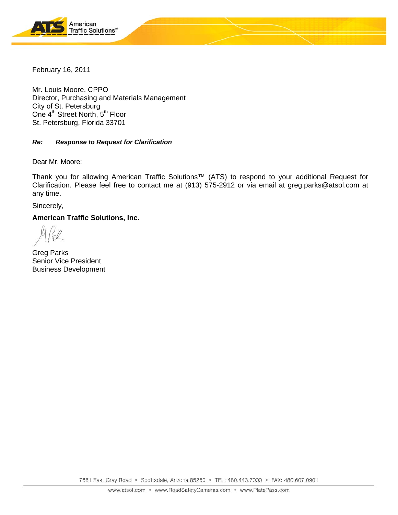

February 16, 2011

Mr. Louis Moore, CPPO Director, Purchasing and Materials Management City of St. Petersburg One 4<sup>th</sup> Street North, 5<sup>th</sup> Floor St. Petersburg, Florida 33701

### *Re: Response to Request for Clarification*

Dear Mr. Moore:

Thank you for allowing American Traffic Solutions™ (ATS) to respond to your additional Request for Clarification. Please feel free to contact me at (913) 575-2912 or via email at greg.parks@atsol.com at any time.

Sincerely,

**American Traffic Solutions, Inc.** 

Greg Parks Senior Vice President Business Development

7681 East Gray Road · Scottsdale, Arizona 85260 · TEL: 480.443.7000 · FAX: 480.607.0901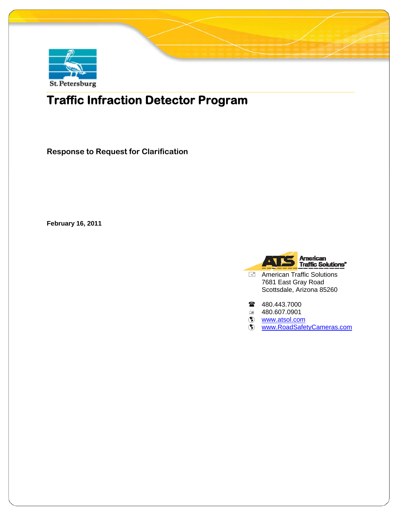

# **Traffic Infraction Detector Program**

**Response to Request for Clarification** 

**February 16, 2011** 



American Traffic Solutions 7681 East Gray Road Scottsdale, Arizona 85260

- 480.443.7000
- 480.607.0901
- **(\*)** www.atsol.com
- **Www.RoadSafetyCameras.com**